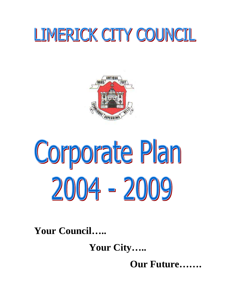## LIMERICK CITY COUNCIL



# Corporate Plan 2004 - 2009

**Your Council…..** 

 **Your City…..**

 **Our Future…….**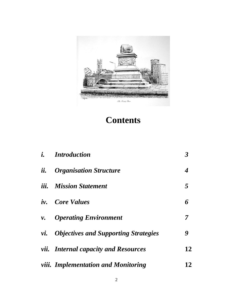

## **Contents**

|            | <i>i.</i> Introduction                          | $\boldsymbol{\beta}$ |
|------------|-------------------------------------------------|----------------------|
| ii.        | <b>Organisation Structure</b>                   | 4                    |
|            | <i>iii.</i> Mission Statement                   | 5                    |
|            | <i>iv.</i> Core Values                          | 6                    |
| <i>v</i> . | <b>Operating Environment</b>                    | 7                    |
|            | <i>vi.</i> Objectives and Supporting Strategies | 9                    |
|            | <i>vii.</i> Internal capacity and Resources     | 12                   |
|            | <i>viii. Implementation and Monitoring</i>      | 12                   |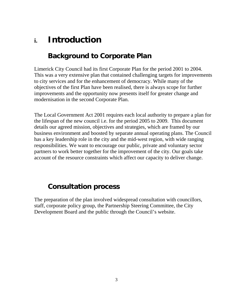## **i. Introduction**

## **Background to Corporate Plan**

Limerick City Council had its first Corporate Plan for the period 2001 to 2004. This was a very extensive plan that contained challenging targets for improvements to city services and for the enhancement of democracy. While many of the objectives of the first Plan have been realised, there is always scope for further improvements and the opportunity now presents itself for greater change and modernisation in the second Corporate Plan.

The Local Government Act 2001 requires each local authority to prepare a plan for the lifespan of the new council i.e. for the period 2005 to 2009. This document details our agreed mission, objectives and strategies, which are framed by our business environment and boosted by separate annual operating plans. The Council has a key leadership role in the city and the mid-west region, with wide ranging responsibilities. We want to encourage our public, private and voluntary sector partners to work better together for the improvement of the city. Our goals take account of the resource constraints which affect our capacity to deliver change.

## **Consultation process**

The preparation of the plan involved widespread consultation with councillors, staff, corporate policy group, the Partnership Steering Committee, the City Development Board and the public through the Council's website.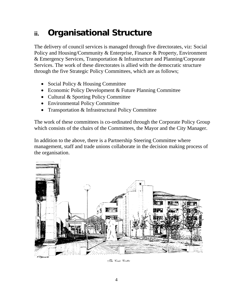## **ii. Organisational Structure**

The delivery of council services is managed through five directorates, viz: Social Policy and Housing/Community & Enterprise, Finance & Property, Environment & Emergency Services, Transportation & Infrastructure and Planning/Corporate Services. The work of these directorates is allied with the democratic structure through the five Strategic Policy Committees, which are as follows;

- Social Policy & Housing Committee
- Economic Policy Development & Future Planning Committee
- Cultural & Sporting Policy Committee
- Environmental Policy Committee
- Transportation & Infrastructural Policy Committee

The work of these committees is co-ordinated through the Corporate Policy Group which consists of the chairs of the Committees, the Mayor and the City Manager.

In addition to the above, there is a Partnership Steering Committee where management, staff and trade unions collaborate in the decision making process of the organisation.



The Civic Centre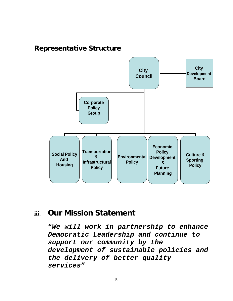## **Representative Structure**



## **iii. Our Mission Statement**

**"***We will work in partnership to enhance Democratic Leadership and continue to support our community by the development of sustainable policies and the delivery of better quality services"*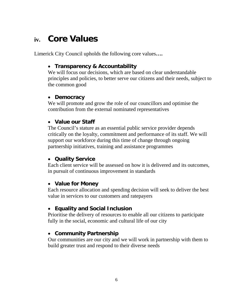## **iv. Core Values**

Limerick City Council upholds the following core values**….** 

#### • **Transparency & Accountability**

We will focus our decisions, which are based on clear understandable principles and policies, to better serve our citizens and their needs, subject to the common good

#### • **Democracy**

We will promote and grow the role of our councillors and optimise the contribution from the external nominated representatives

## • **Value our Staff**

The Council's stature as an essential public service provider depends critically on the loyalty, commitment and performance of its staff. We will support our workforce during this time of change through ongoing partnership initiatives, training and assistance programmes

#### • **Quality Service**

Each client service will be assessed on how it is delivered and its outcomes, in pursuit of continuous improvement in standards

#### • **Value for Money**

Each resource allocation and spending decision will seek to deliver the best value in services to our customers and ratepayers

## • **Equality and Social Inclusion**

Prioritise the delivery of resources to enable all our citizens to participate fully in the social, economic and cultural life of our city

#### • **Community Partnership**

Our communities are our city and we will work in partnership with them to build greater trust and respond to their diverse needs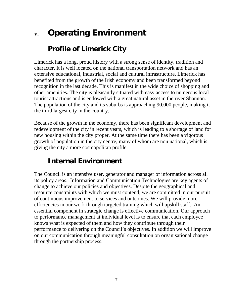## **v. Operating Environment**

## **Profile of Limerick City**

Limerick has a long, proud history with a strong sense of identity, tradition and character. It is well located on the national transportation network and has an extensive educational, industrial, social and cultural infrastructure. Limerick has benefited from the growth of the Irish economy and been transformed beyond recognition in the last decade. This is manifest in the wide choice of shopping and other amenities. The city is pleasantly situated with easy access to numerous local tourist attractions and is endowed with a great natural asset in the river Shannon. The population of the city and its suburbs is approaching 90,000 people, making it the third largest city in the country.

Because of the growth in the economy, there has been significant development and redevelopment of the city in recent years, which is leading to a shortage of land for new housing within the city proper. At the same time there has been a vigorous growth of population in the city centre, many of whom are non national, which is giving the city a more cosmopolitan profile.

## **Internal Environment**

The Council is an intensive user, generator and manager of information across all its policy areas. Information and Communication Technologies are key agents of change to achieve our policies and objectives. Despite the geographical and resource constraints with which we must contend, we are committed in our pursuit of continuous improvement to services and outcomes. We will provide more efficiencies in our work through targeted training which will upskill staff. An essential component in strategic change is effective communication. Our approach to performance management at individual level is to ensure that each employee knows what is expected of them and how they contribute through their performance to delivering on the Council's objectives. In addition we will improve on our communication through meaningful consultation on organisational change through the partnership process.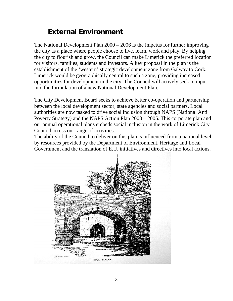## **External Environment**

The National Development Plan 2000 – 2006 is the impetus for further improving the city as a place where people choose to live, learn, work and play. By helping the city to flourish and grow, the Council can make Limerick the preferred location for visitors, families, students and investors. A key proposal in the plan is the establishment of the 'western' strategic development zone from Galway to Cork. Limerick would be geographically central to such a zone, providing increased opportunities for development in the city. The Council will actively seek to input into the formulation of a new National Development Plan.

The City Development Board seeks to achieve better co-operation and partnership between the local development sector, state agencies and social partners. Local authorities are now tasked to drive social inclusion through NAPS (National Anti Poverty Strategy) and the NAPS Action Plan 2003 – 2005. This corporate plan and our annual operational plans embeds social inclusion in the work of Limerick City Council across our range of activities.

The ability of the Council to deliver on this plan is influenced from a national level by resources provided by the Department of Environment, Heritage and Local Government and the translation of E.U. initiatives and directives into local actions.

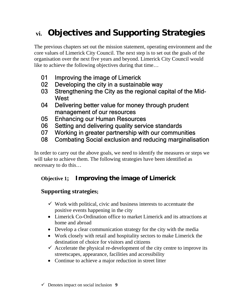## **vi. Objectives and Supporting Strategies**

The previous chapters set out the mission statement, operating environment and the core values of Limerick City Council. The next step is to set out the goals of the organisation over the next five years and beyond. Limerick City Council would like to achieve the following objectives during that time…

- 01 Improving the image of Limerick
- 02 Developing the city in a sustainable way
- 03 Strengthening the City as the regional capital of the Mid-West
- 04 Delivering better value for money through prudent management of our resources
- 05 Enhancing our Human Resources
- 06 Setting and delivering quality service standards
- 07 Working in greater partnership with our communities
- 08 Combating Social exclusion and reducing marginalisation

In order to carry out the above goals, we need to identify the measures or steps we will take to achieve them. The following strategies have been identified as necessary to do this…

## **Objective 1; Improving the image of Limerick**

- $\checkmark$  Work with political, civic and business interests to accentuate the positive events happening in the city
- Limerick Co-Ordination office to market Limerick and its attractions at home and abroad
- Develop a clear communication strategy for the city with the media
- Work closely with retail and hospitality sectors to make Limerick the destination of choice for visitors and citizens
- $\checkmark$  Accelerate the physical re-development of the city centre to improve its streetscapes, appearance, facilities and accessibility
- Continue to achieve a major reduction in street litter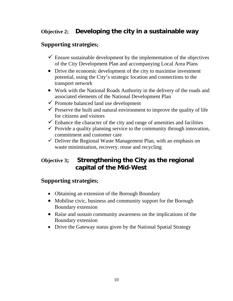## **Objective 2; Developing the city in a sustainable way**

## **Supporting strategies;**

- $\checkmark$  Ensure sustainable development by the implementation of the objectives of the City Development Plan and accompanying Local Area Plans
- Drive the economic development of the city to maximise investment potential*,* using the City's strategic location and connections to the transport network
- Work with the National Roads Authority in the delivery of the roads and associated elements of the National Development Plan
- $\checkmark$  Promote balanced land use development
- $\checkmark$  Preserve the built and natural environment to improve the quality of life for citizens and visitors
- $\checkmark$  Enhance the character of the city and range of amenities and facilities
- $\checkmark$  Provide a quality planning service to the community through innovation, commitment and customer care
- $\checkmark$  Deliver the Regional Waste Management Plan, with an emphasis on waste minimisation, recovery, reuse and recycling

## **Objective 3; Strengthening the City as the regional capital of the Mid-West**

- Obtaining an extension of the Borough Boundary
- Mobilise civic, business and community support for the Borough Boundary extension
- Raise and sustain community awareness on the implications of the Boundary extension
- Drive the Gateway status given by the National Spatial Strategy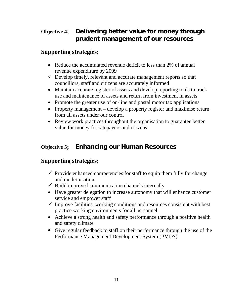## **Objective 4; Delivering better value for money through prudent management of our resources**

## **Supporting strategies;**

- Reduce the accumulated revenue deficit to less than 2% of annual revenue expenditure by 2009
- $\checkmark$  Develop timely, relevant and accurate management reports so that councillors, staff and citizens are accurately informed
- Maintain accurate register of assets and develop reporting tools to track use and maintenance of assets and return from investment in assets
- Promote the greater use of on-line and postal motor tax applications
- Property management develop a property register and maximise return from all assets under our control
- Review work practices throughout the organisation to guarantee better value for money for ratepayers and citizens

## **Objective 5; Enhancing our Human Resources**

- $\checkmark$  Provide enhanced competencies for staff to equip them fully for change and modernisation
- $\checkmark$  Build improved communication channels internally
- Have greater delegation to increase autonomy that will enhance customer service and empower staff
- $\checkmark$  Improve facilities, working conditions and resources consistent with best practice working environments for all personnel
- Achieve a strong health and safety performance through a positive health and safety climate
- Give regular feedback to staff on their performance through the use of the Performance Management Development System (PMDS)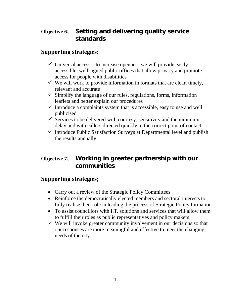## **Objective 6; Setting and delivering quality service standards**

## **Supporting strategies;**

- $\checkmark$  Universal access to increase openness we will provide easily accessible, well signed public offices that allow privacy and promote access for people with disabilities
- $\checkmark$  We will work to provide information in formats that are clear, timely, relevant and accurate
- $\checkmark$  Simplify the language of our rules, regulations, forms, information leaflets and better explain our procedures
- $\checkmark$  Introduce a complaints system that is accessible, easy to use and well publicised
- $\checkmark$  Services to be delivered with courtesy, sensitivity and the minimum delay and with callers directed quickly to the correct point of contact
- $\checkmark$  Introduce Public Satisfaction Surveys at Departmental level and publish the results annually

## **Objective 7; Working in greater partnership with our communities**

- Carry out a review of the Strategic Policy Committees
- Reinforce the democratically elected members and sectoral interests to fully realise their role in leading the process of Strategic Policy formation
- To assist councillors with I.T. solutions and services that will allow them to fulfill their roles as public representatives and policy makers
- $\checkmark$  We will invoke greater community involvement in our decisions so that our responses are more meaningful and effective to meet the changing needs of the city